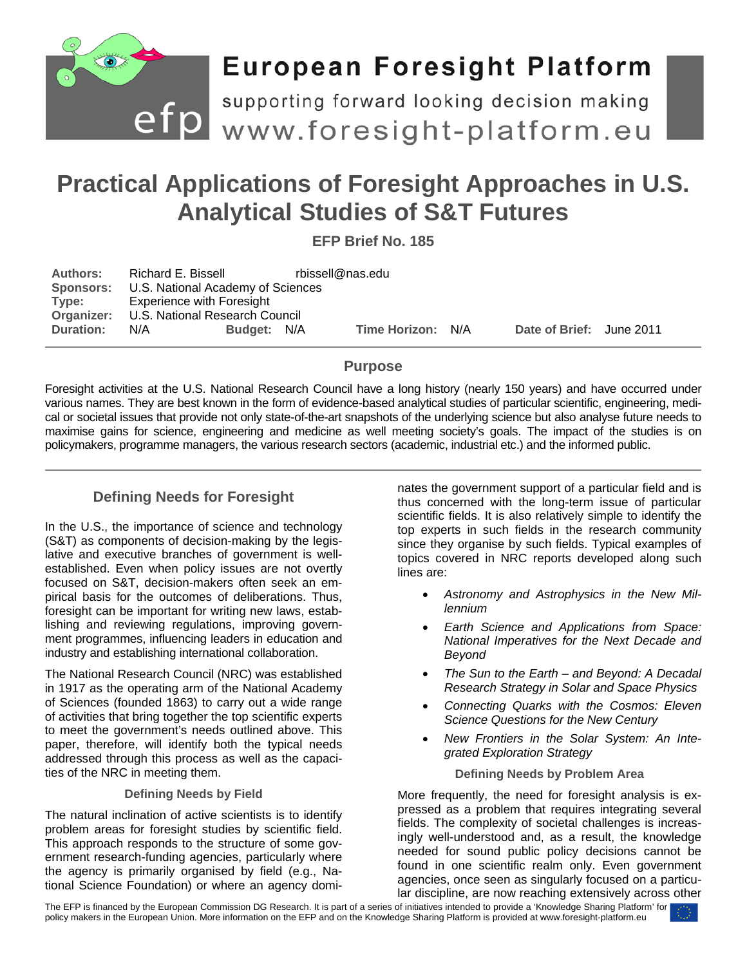

# **European Foresight Platform**

efp supporting forward looking decision making<br>efp www.foresight-platform.eu

# **Practical Applications of Foresight Approaches in U.S. Analytical Studies of S&T Futures**

**EFP Brief No. 185**

| <b>Authors:</b><br><b>Sponsors:</b> | Richard E. Bissell<br>U.S. National Academy of Sciences |             | rbissell@nas.edu |                   |  |                          |  |
|-------------------------------------|---------------------------------------------------------|-------------|------------------|-------------------|--|--------------------------|--|
| Type:                               | <b>Experience with Foresight</b>                        |             |                  |                   |  |                          |  |
|                                     | <b>Organizer:</b> U.S. National Research Council        |             |                  |                   |  |                          |  |
| <b>Duration:</b>                    | N/A                                                     | Budget: N/A |                  | Time Horizon: N/A |  | Date of Brief: June 2011 |  |

# **Purpose**

Foresight activities at the U.S. National Research Council have a long history (nearly 150 years) and have occurred under various names. They are best known in the form of evidence-based analytical studies of particular scientific, engineering, medical or societal issues that provide not only state-of-the-art snapshots of the underlying science but also analyse future needs to maximise gains for science, engineering and medicine as well meeting society's goals. The impact of the studies is on policymakers, programme managers, the various research sectors (academic, industrial etc.) and the informed public.

# **Defining Needs for Foresight**

In the U.S., the importance of science and technology (S&T) as components of decision-making by the legislative and executive branches of government is wellestablished. Even when policy issues are not overtly focused on S&T, decision-makers often seek an empirical basis for the outcomes of deliberations. Thus, foresight can be important for writing new laws, establishing and reviewing regulations, improving government programmes, influencing leaders in education and industry and establishing international collaboration.

The National Research Council (NRC) was established in 1917 as the operating arm of the National Academy of Sciences (founded 1863) to carry out a wide range of activities that bring together the top scientific experts to meet the government's needs outlined above. This paper, therefore, will identify both the typical needs addressed through this process as well as the capacities of the NRC in meeting them.

#### **Defining Needs by Field**

The natural inclination of active scientists is to identify problem areas for foresight studies by scientific field. This approach responds to the structure of some government research-funding agencies, particularly where the agency is primarily organised by field (e.g., National Science Foundation) or where an agency dominates the government support of a particular field and is thus concerned with the long-term issue of particular scientific fields. It is also relatively simple to identify the top experts in such fields in the research community since they organise by such fields. Typical examples of topics covered in NRC reports developed along such lines are:

- *Astronomy and Astrophysics in the New Millennium*
- *Earth Science and Applications from Space: National Imperatives for the Next Decade and Beyond*
- *The Sun to the Earth – and Beyond: A Decadal Research Strategy in Solar and Space Physics*
- *Connecting Quarks with the Cosmos: Eleven Science Questions for the New Century*
- *New Frontiers in the Solar System: An Integrated Exploration Strategy*

#### **Defining Needs by Problem Area**

More frequently, the need for foresight analysis is expressed as a problem that requires integrating several fields. The complexity of societal challenges is increasingly well-understood and, as a result, the knowledge needed for sound public policy decisions cannot be found in one scientific realm only. Even government agencies, once seen as singularly focused on a particular discipline, are now reaching extensively across other

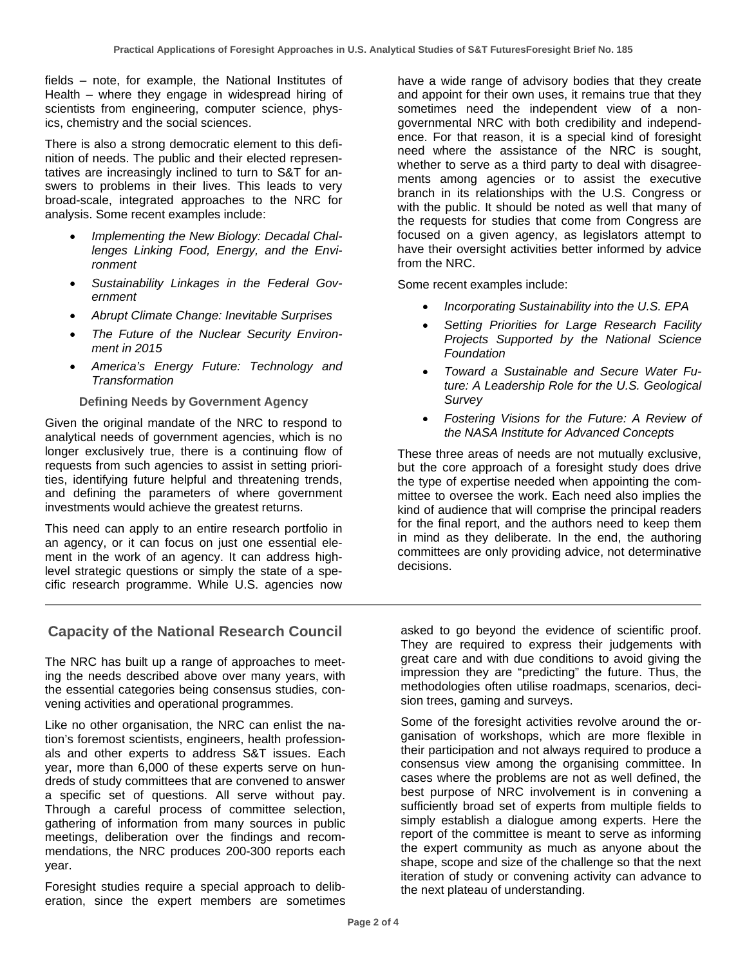fields – note, for example, the National Institutes of Health – where they engage in widespread hiring of scientists from engineering, computer science, physics, chemistry and the social sciences.

There is also a strong democratic element to this definition of needs. The public and their elected representatives are increasingly inclined to turn to S&T for answers to problems in their lives. This leads to very broad-scale, integrated approaches to the NRC for analysis. Some recent examples include:

- *Implementing the New Biology: Decadal Challenges Linking Food, Energy, and the Environment*
- *Sustainability Linkages in the Federal Government*
- *Abrupt Climate Change: Inevitable Surprises*
- *The Future of the Nuclear Security Environment in 2015*
- *America's Energy Future: Technology and Transformation*

#### **Defining Needs by Government Agency**

Given the original mandate of the NRC to respond to analytical needs of government agencies, which is no longer exclusively true, there is a continuing flow of requests from such agencies to assist in setting priorities, identifying future helpful and threatening trends, and defining the parameters of where government investments would achieve the greatest returns.

This need can apply to an entire research portfolio in an agency, or it can focus on just one essential element in the work of an agency. It can address highlevel strategic questions or simply the state of a specific research programme. While U.S. agencies now

have a wide range of advisory bodies that they create and appoint for their own uses, it remains true that they sometimes need the independent view of a nongovernmental NRC with both credibility and independence. For that reason, it is a special kind of foresight need where the assistance of the NRC is sought, whether to serve as a third party to deal with disagreements among agencies or to assist the executive branch in its relationships with the U.S. Congress or with the public. It should be noted as well that many of the requests for studies that come from Congress are focused on a given agency, as legislators attempt to have their oversight activities better informed by advice from the NRC.

Some recent examples include:

- *Incorporating Sustainability into the U.S. EPA*
- *Setting Priorities for Large Research Facility Projects Supported by the National Science Foundation*
- *Toward a Sustainable and Secure Water Future: A Leadership Role for the U.S. Geological Survey*
- *Fostering Visions for the Future: A Review of the NASA Institute for Advanced Concepts*

These three areas of needs are not mutually exclusive, but the core approach of a foresight study does drive the type of expertise needed when appointing the committee to oversee the work. Each need also implies the kind of audience that will comprise the principal readers for the final report, and the authors need to keep them in mind as they deliberate. In the end, the authoring committees are only providing advice, not determinative decisions.

### **Capacity of the National Research Council**

The NRC has built up a range of approaches to meeting the needs described above over many years, with the essential categories being consensus studies, convening activities and operational programmes.

Like no other organisation, the NRC can enlist the nation's foremost scientists, engineers, health professionals and other experts to address S&T issues. Each year, more than 6,000 of these experts serve on hundreds of study committees that are convened to answer a specific set of questions. All serve without pay. Through a careful process of committee selection, gathering of information from many sources in public meetings, deliberation over the findings and recommendations, the NRC produces 200-300 reports each year.

Foresight studies require a special approach to deliberation, since the expert members are sometimes asked to go beyond the evidence of scientific proof. They are required to express their judgements with great care and with due conditions to avoid giving the impression they are "predicting" the future. Thus, the methodologies often utilise roadmaps, scenarios, decision trees, gaming and surveys.

Some of the foresight activities revolve around the organisation of workshops, which are more flexible in their participation and not always required to produce a consensus view among the organising committee. In cases where the problems are not as well defined, the best purpose of NRC involvement is in convening a sufficiently broad set of experts from multiple fields to simply establish a dialogue among experts. Here the report of the committee is meant to serve as informing the expert community as much as anyone about the shape, scope and size of the challenge so that the next iteration of study or convening activity can advance to the next plateau of understanding.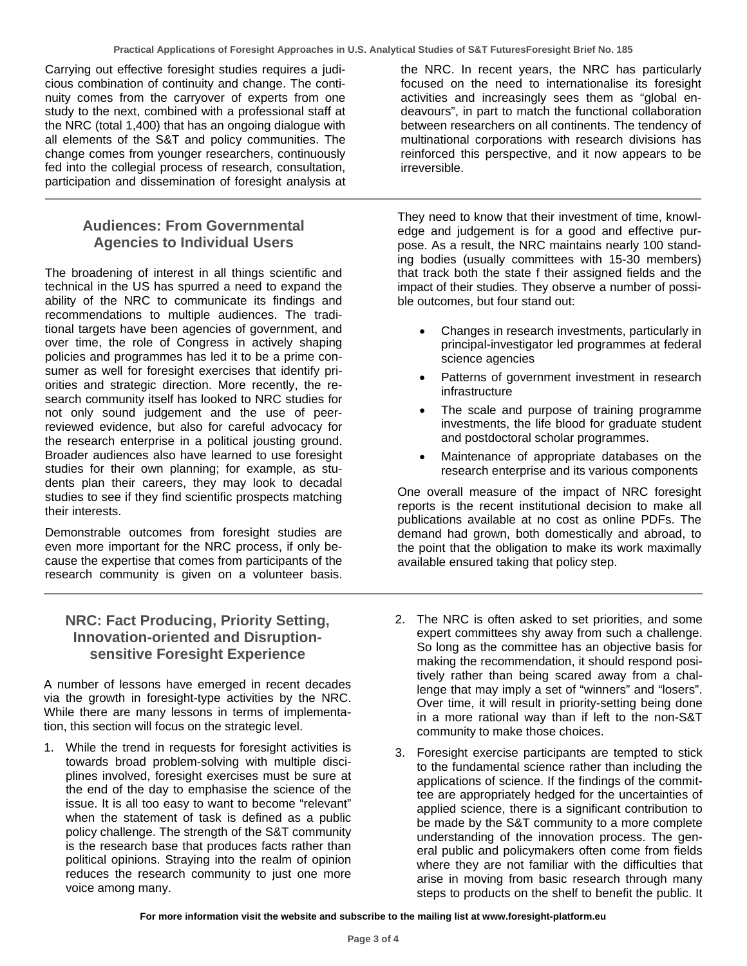Carrying out effective foresight studies requires a judicious combination of continuity and change. The continuity comes from the carryover of experts from one study to the next, combined with a professional staff at the NRC (total 1,400) that has an ongoing dialogue with all elements of the S&T and policy communities. The change comes from younger researchers, continuously fed into the collegial process of research, consultation, participation and dissemination of foresight analysis at

## **Audiences: From Governmental Agencies to Individual Users**

The broadening of interest in all things scientific and technical in the US has spurred a need to expand the ability of the NRC to communicate its findings and recommendations to multiple audiences. The traditional targets have been agencies of government, and over time, the role of Congress in actively shaping policies and programmes has led it to be a prime consumer as well for foresight exercises that identify priorities and strategic direction. More recently, the research community itself has looked to NRC studies for not only sound judgement and the use of peerreviewed evidence, but also for careful advocacy for the research enterprise in a political jousting ground. Broader audiences also have learned to use foresight studies for their own planning; for example, as students plan their careers, they may look to decadal studies to see if they find scientific prospects matching their interests.

Demonstrable outcomes from foresight studies are even more important for the NRC process, if only because the expertise that comes from participants of the research community is given on a volunteer basis.

## **NRC: Fact Producing, Priority Setting, Innovation-oriented and Disruptionsensitive Foresight Experience**

A number of lessons have emerged in recent decades via the growth in foresight-type activities by the NRC. While there are many lessons in terms of implementation, this section will focus on the strategic level.

1. While the trend in requests for foresight activities is towards broad problem-solving with multiple disciplines involved, foresight exercises must be sure at the end of the day to emphasise the science of the issue. It is all too easy to want to become "relevant" when the statement of task is defined as a public policy challenge. The strength of the S&T community is the research base that produces facts rather than political opinions. Straying into the realm of opinion reduces the research community to just one more voice among many.

the NRC. In recent years, the NRC has particularly focused on the need to internationalise its foresight activities and increasingly sees them as "global endeavours", in part to match the functional collaboration between researchers on all continents. The tendency of multinational corporations with research divisions has reinforced this perspective, and it now appears to be irreversible.

They need to know that their investment of time, knowledge and judgement is for a good and effective purpose. As a result, the NRC maintains nearly 100 standing bodies (usually committees with 15-30 members) that track both the state f their assigned fields and the impact of their studies. They observe a number of possible outcomes, but four stand out:

- Changes in research investments, particularly in principal-investigator led programmes at federal science agencies
- Patterns of government investment in research infrastructure
- The scale and purpose of training programme investments, the life blood for graduate student and postdoctoral scholar programmes.
- Maintenance of appropriate databases on the research enterprise and its various components

One overall measure of the impact of NRC foresight reports is the recent institutional decision to make all publications available at no cost as online PDFs. The demand had grown, both domestically and abroad, to the point that the obligation to make its work maximally available ensured taking that policy step.

- 2. The NRC is often asked to set priorities, and some expert committees shy away from such a challenge. So long as the committee has an objective basis for making the recommendation, it should respond positively rather than being scared away from a challenge that may imply a set of "winners" and "losers". Over time, it will result in priority-setting being done in a more rational way than if left to the non-S&T community to make those choices.
- 3. Foresight exercise participants are tempted to stick to the fundamental science rather than including the applications of science. If the findings of the committee are appropriately hedged for the uncertainties of applied science, there is a significant contribution to be made by the S&T community to a more complete understanding of the innovation process. The general public and policymakers often come from fields where they are not familiar with the difficulties that arise in moving from basic research through many steps to products on the shelf to benefit the public. It

**For more information visit the website and subscribe to the mailing list at www.foresight-platform.eu**